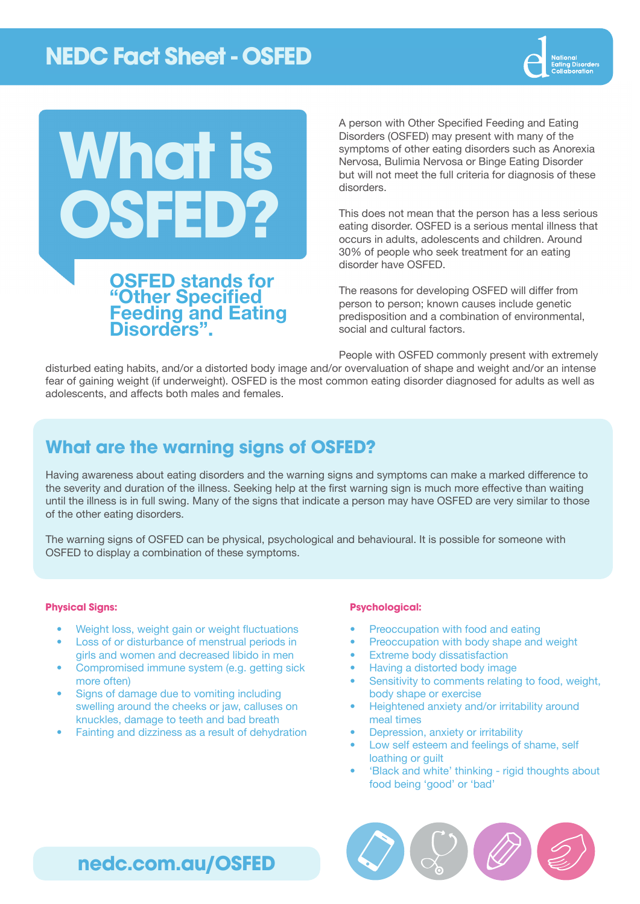# **NEDC Fact Sheet - OSFED**





A person with Other Specified Feeding and Eating Disorders (OSFED) may present with many of the symptoms of other eating disorders such as Anorexia Nervosa, Bulimia Nervosa or Binge Eating Disorder but will not meet the full criteria for diagnosis of these disorders.

This does not mean that the person has a less serious eating disorder. OSFED is a serious mental illness that occurs in adults, adolescents and children. Around 30% of people who seek treatment for an eating disorder have OSFED.

The reasons for developing OSFED will differ from person to person; known causes include genetic predisposition and a combination of environmental, social and cultural factors.

People with OSFED commonly present with extremely

disturbed eating habits, and/or a distorted body image and/or overvaluation of shape and weight and/or an intense fear of gaining weight (if underweight). OSFED is the most common eating disorder diagnosed for adults as well as adolescents, and affects both males and females.

### **What are the warning signs of OSFED?**

Having awareness about eating disorders and the warning signs and symptoms can make a marked difference to the severity and duration of the illness. Seeking help at the first warning sign is much more effective than waiting until the illness is in full swing. Many of the signs that indicate a person may have OSFED are very similar to those of the other eating disorders.

The warning signs of OSFED can be physical, psychological and behavioural. It is possible for someone with OSFED to display a combination of these symptoms.

#### **Physical Signs:**

- Weight loss, weight gain or weight fluctuations
- Loss of or disturbance of menstrual periods in girls and women and decreased libido in men
- Compromised immune system (e.g. getting sick more often)
- Signs of damage due to vomiting including swelling around the cheeks or jaw, calluses on knuckles, damage to teeth and bad breath
- Fainting and dizziness as a result of dehydration

#### **Psychological:**

- Preoccupation with food and eating
- Preoccupation with body shape and weight
- **Extreme body dissatisfaction**
- Having a distorted body image
- Sensitivity to comments relating to food, weight, body shape or exercise
- Heightened anxiety and/or irritability around meal times
- Depression, anxiety or irritability
- Low self esteem and feelings of shame, self loathing or guilt
- 'Black and white' thinking rigid thoughts about food being 'good' or 'bad'



# **[nedc.com.au/OSFED](http://www.nedc.com.au/OSFED)**